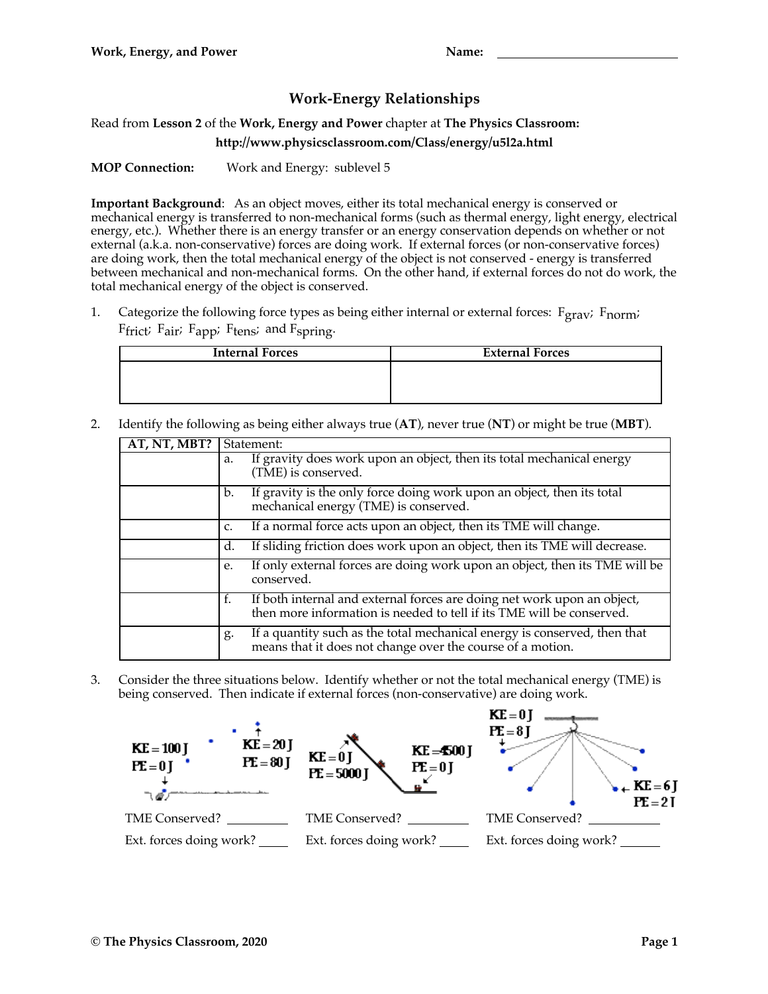## **Work-Energy Relationships**

Read from **Lesson 2** of the **Work, Energy and Power** chapter at **The Physics Classroom:**

**http://www.physicsclassroom.com/Class/energy/u5l2a.html**

**MOP Connection:** Work and Energy: sublevel 5

**Important Background**: As an object moves, either its total mechanical energy is conserved or mechanical energy is transferred to non-mechanical forms (such as thermal energy, light energy, electrical energy, etc.). Whether there is an energy transfer or an energy conservation depends on whether or not external (a.k.a. non-conservative) forces are doing work. If external forces (or non-conservative forces) are doing work, then the total mechanical energy of the object is not conserved - energy is transferred between mechanical and non-mechanical forms. On the other hand, if external forces do not do work, the total mechanical energy of the object is conserved.

1. Categorize the following force types as being either internal or external forces: Fgrav; Fnorm;  $F$ frict;  $F$ air;  $F$ app;  $F$ tens; and  $F$ spring.

| <b>Internal Forces</b> | <b>External Forces</b> |
|------------------------|------------------------|
|                        |                        |
|                        |                        |
|                        |                        |

2. Identify the following as being either always true (**AT**), never true (**NT**) or might be true (**MBT**).

| AT, NT, MBT? | Statement:                                                                                                                                             |  |
|--------------|--------------------------------------------------------------------------------------------------------------------------------------------------------|--|
|              | If gravity does work upon an object, then its total mechanical energy<br>a.<br>(TME) is conserved.                                                     |  |
|              | If gravity is the only force doing work upon an object, then its total<br>b.<br>mechanical energy (TME) is conserved.                                  |  |
|              | If a normal force acts upon an object, then its TME will change.<br>C.                                                                                 |  |
|              | If sliding friction does work upon an object, then its TME will decrease.<br>d.                                                                        |  |
|              | If only external forces are doing work upon an object, then its TME will be<br>е.<br>conserved.                                                        |  |
|              | f.<br>If both internal and external forces are doing net work upon an object,<br>then more information is needed to tell if its TME will be conserved. |  |
|              | If a quantity such as the total mechanical energy is conserved, then that<br>g.<br>means that it does not change over the course of a motion.          |  |

3. Consider the three situations below. Identify whether or not the total mechanical energy (TME) is being conserved. Then indicate if external forces (non-conservative) are doing work.